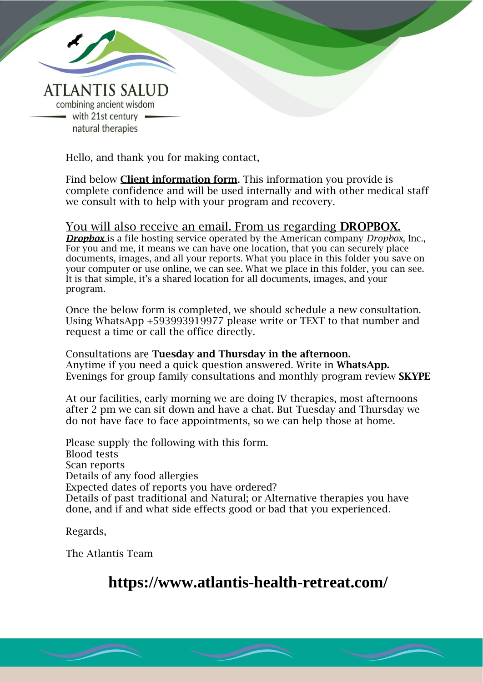

Hello, and thank you for making contact,

Find below **Client information form**. This information you provide is complete confidence and will be used internally and with other medical staff we consult with to help with your program and recovery.

In Confidence

#### You will also receive an email. From us regarding DROPBOX.

*Dropbox* is a file hosting service operated by the American company *Dropbox*, Inc., For you and me, it means we can have one location, that you can securely place documents, images, and all your reports. What you place in this folder you save on your computer or use online, we can see. What we place in this folder, you can see. It is that simple, it's a shared location for all documents, images, and your program.

Once the below form is completed, we should schedule a new consultation. Using WhatsApp +593993919977 please write or TEXT to that number and request a time or call the office directly.

Consultations are Tuesday and Thursday in the afternoon. Anytime if you need a quick question answered. Write in **WhatsApp.** Evenings for group family consultations and monthly program review SKYPE

At our facilities, early morning we are doing IV therapies, most afternoons after 2 pm we can sit down and have a chat. But Tuesday and Thursday we do not have face to face appointments, so we can help those at home.

Please supply the following with this form. Blood tests Scan reports Details of any food allergies Expected dates of reports you have ordered? Details of past traditional and Natural; or Alternative therapies you have done, and if and what side effects good or bad that you experienced.

Regards,

The Atlantis Team

# **https://www.atlantis-health-retreat.com/**

© Atlantis Salud Group of Companies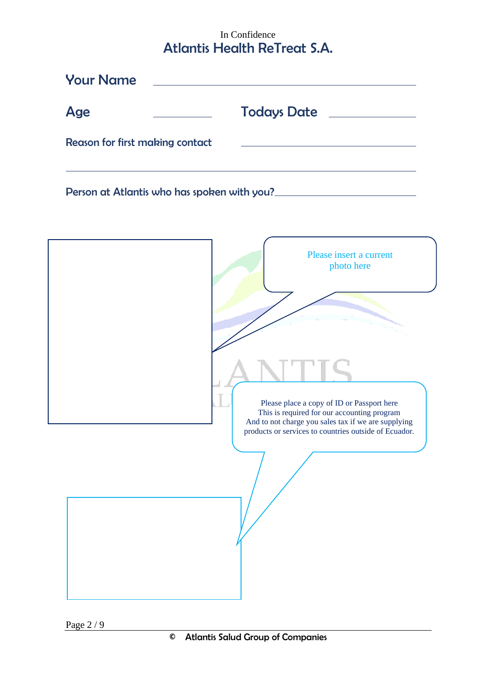## In Confidence Atlantis Health ReTreat S.A.

| <b>Your Name</b>                |                                                                                                                                                                                                                                      |
|---------------------------------|--------------------------------------------------------------------------------------------------------------------------------------------------------------------------------------------------------------------------------------|
|                                 |                                                                                                                                                                                                                                      |
| Age                             | Todays Date <u>New York Barness and Barness and Barness and Barness and Barness and Barness and Barness and Barness and Barness and Barness and Barness and Barness and Barness and Barness and Barness and Barness and Barness </u> |
| Reason for first making contact | <u> 1989 - Johann Barbara, martxa alemaniar amerikan a</u>                                                                                                                                                                           |
|                                 | Person at Atlantis who has spoken with you?                                                                                                                                                                                          |
|                                 | Please insert a current<br>photo here                                                                                                                                                                                                |
|                                 | Please place a copy of ID or Passport here<br>This is required for our accounting program<br>And to not charge you sales tax if we are supplying<br>products or services to countries outside of Ecuador.                            |
|                                 |                                                                                                                                                                                                                                      |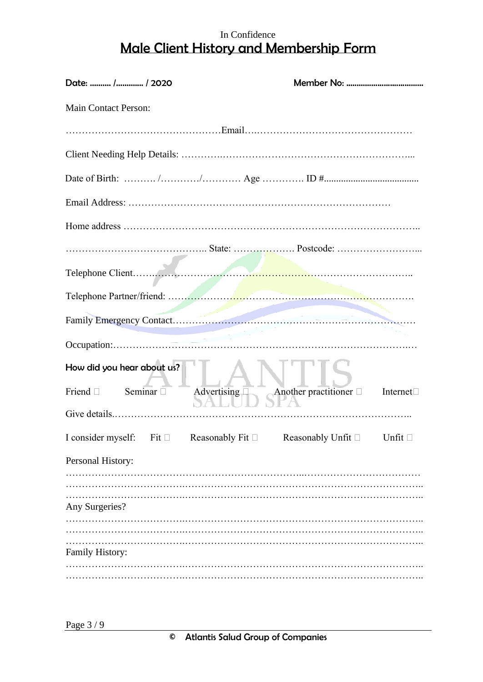## In Confidence Male Client History and Membership Form

| Date:  / / 2020                                                                          |                                                                |  |
|------------------------------------------------------------------------------------------|----------------------------------------------------------------|--|
| <b>Main Contact Person:</b>                                                              |                                                                |  |
|                                                                                          |                                                                |  |
|                                                                                          |                                                                |  |
|                                                                                          |                                                                |  |
|                                                                                          |                                                                |  |
|                                                                                          |                                                                |  |
|                                                                                          |                                                                |  |
|                                                                                          |                                                                |  |
|                                                                                          |                                                                |  |
|                                                                                          |                                                                |  |
|                                                                                          |                                                                |  |
| How did you hear about us?                                                               |                                                                |  |
| Seminar $\square$<br>Friend $\Box$                                                       | Advertising $\Box$ Another practitioner $\Box$ Internet $\Box$ |  |
|                                                                                          |                                                                |  |
| I consider myself: Fit $\Box$ Reasonably Fit $\Box$ Reasonably Unfit $\Box$ Unfit $\Box$ |                                                                |  |
| Personal History:                                                                        |                                                                |  |
|                                                                                          |                                                                |  |
| Any Surgeries?                                                                           |                                                                |  |
|                                                                                          |                                                                |  |
| Family History:                                                                          |                                                                |  |
|                                                                                          |                                                                |  |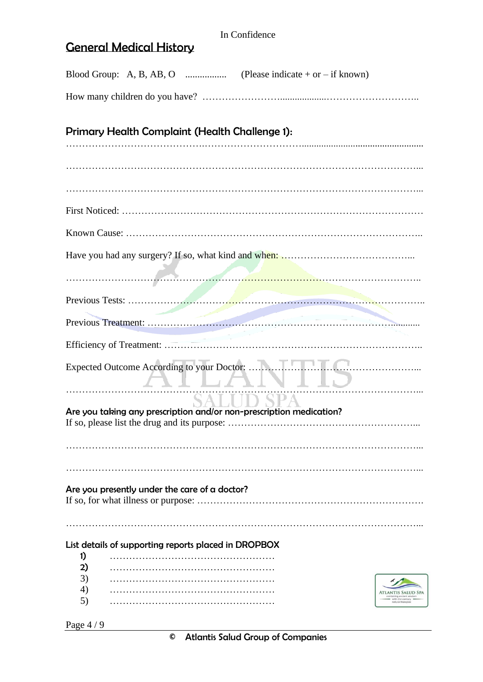## General Medical History

|    | Primary Health Complaint (Health Challenge 1):                      |  |  |
|----|---------------------------------------------------------------------|--|--|
|    |                                                                     |  |  |
|    |                                                                     |  |  |
|    |                                                                     |  |  |
|    |                                                                     |  |  |
|    |                                                                     |  |  |
|    |                                                                     |  |  |
|    |                                                                     |  |  |
|    |                                                                     |  |  |
|    |                                                                     |  |  |
|    | ALLAN ID                                                            |  |  |
|    | Are you taking any prescription and/or non-prescription medication? |  |  |
|    |                                                                     |  |  |
|    |                                                                     |  |  |
|    | Are you presently under the care of a doctor?                       |  |  |
|    | List details of supporting reports placed in DROPBOX                |  |  |
| 1) |                                                                     |  |  |
| 2) |                                                                     |  |  |
| 3) |                                                                     |  |  |
| 4) |                                                                     |  |  |
| 5) |                                                                     |  |  |
|    |                                                                     |  |  |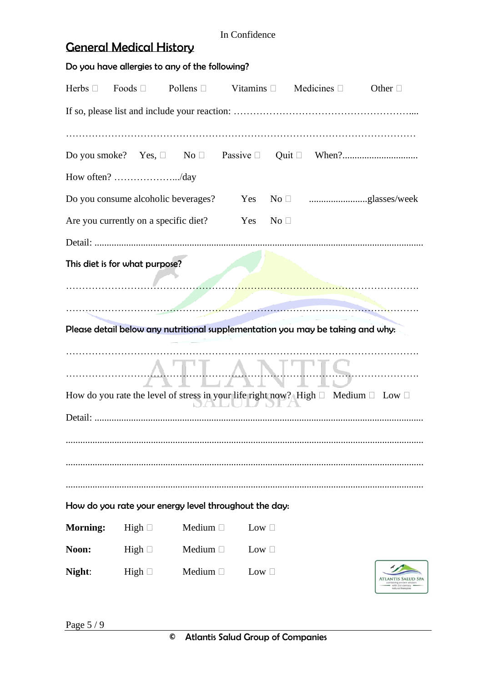|                                       |             | Do you have allergies to any of the following?                                                   |                                |                      |  |                                    |
|---------------------------------------|-------------|--------------------------------------------------------------------------------------------------|--------------------------------|----------------------|--|------------------------------------|
| Herbs $\square$                       |             | Foods $\Box$ Pollens $\Box$ Vitamins $\Box$ Medicines $\Box$                                     |                                |                      |  | Other $\Box$                       |
|                                       |             |                                                                                                  |                                |                      |  |                                    |
|                                       |             |                                                                                                  |                                |                      |  |                                    |
|                                       |             |                                                                                                  |                                |                      |  |                                    |
| How often? /day                       |             |                                                                                                  |                                |                      |  |                                    |
|                                       |             | Do you consume alcoholic beverages? Yes                                                          |                                |                      |  |                                    |
| Are you currently on a specific diet? |             |                                                                                                  | Yes                            | $\mathrm{No} \ \Box$ |  |                                    |
|                                       |             |                                                                                                  |                                |                      |  |                                    |
| This diet is for what purpose?        |             |                                                                                                  |                                |                      |  |                                    |
|                                       |             |                                                                                                  |                                |                      |  |                                    |
|                                       |             |                                                                                                  |                                |                      |  |                                    |
|                                       |             | Please detail below any nutritional supplementation you may be taking and why:                   |                                |                      |  |                                    |
|                                       |             |                                                                                                  |                                |                      |  |                                    |
|                                       |             |                                                                                                  | <u>IMI  AMI</u><br><b>ALVI</b> |                      |  | MARIS                              |
|                                       |             | How do you rate the level of stress in your life right now? High $\Box$ Medium $\Box$ Low $\Box$ |                                |                      |  |                                    |
|                                       |             |                                                                                                  |                                |                      |  |                                    |
|                                       |             |                                                                                                  |                                |                      |  |                                    |
|                                       |             |                                                                                                  |                                |                      |  |                                    |
|                                       |             |                                                                                                  |                                |                      |  |                                    |
|                                       |             | How do you rate your energy level throughout the day:                                            |                                |                      |  |                                    |
| <b>Morning:</b>                       | High $\Box$ | Medium $\square$                                                                                 | Low $\square$                  |                      |  |                                    |
| Noon:                                 | High $\Box$ | Medium $\Box$                                                                                    | Low $\square$                  |                      |  |                                    |
| Night:                                | High $\Box$ | Medium $\Box$                                                                                    | Low $\square$                  |                      |  | <b>LANTIS SAI</b><br>atural therap |

In Confidence

General Medical History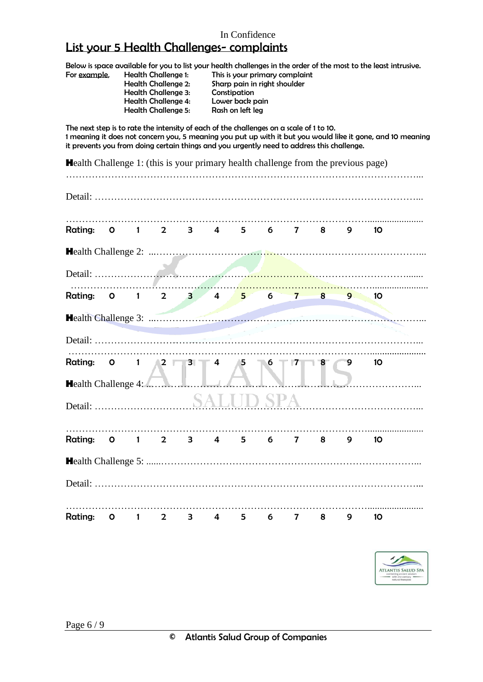### List your 5 Health Challenges- complaints

Below is space available for you to list your health challenges in the order of the most to the least intrusive.<br>For example, Health Challenge 1: This is your primary complaint

| Health Challenge 1:        | This is your prime |
|----------------------------|--------------------|
| <b>Health Challenge 2:</b> | Sharp pain in rigl |
| <b>Health Challenge 3:</b> | Constipation       |
| <b>Health Challenge 4:</b> | Lower back pain    |
| <b>Health Challenge 5:</b> | Rash on left leg   |
|                            |                    |

Health Challenge 1: This is your primary complaint Health Challenge 2: Sharp pain in right shoulder<br>Health Challenge 3: Constipation Rash on left leg

The next step is to rate the intensity of each of the challenges on a scale of 1 to 10. 1 meaning it does not concern you, 5 meaning you put up with it but you would like it gone, and 10 meaning it prevents you from doing certain things and you urgently need to address this challenge.

| <b>Health Challenge 1: (this is your primary health challenge from the previous page)</b> |                         |                                                  |  |   |   |   |   |   |                 |
|-------------------------------------------------------------------------------------------|-------------------------|--------------------------------------------------|--|---|---|---|---|---|-----------------|
|                                                                                           |                         |                                                  |  |   |   |   |   |   |                 |
| Rating: 0 1 2 3 4 5 6 7 8 9                                                               |                         |                                                  |  |   |   |   |   |   | 10 <sup>°</sup> |
|                                                                                           |                         |                                                  |  |   |   |   |   |   |                 |
|                                                                                           |                         |                                                  |  |   |   |   |   |   |                 |
| Rating: 0 1 2 3 4 5 6 7                                                                   |                         |                                                  |  |   |   |   | 8 | 9 | 10 <sup>°</sup> |
|                                                                                           |                         |                                                  |  |   |   |   |   |   |                 |
|                                                                                           |                         |                                                  |  |   |   |   |   |   |                 |
| Rating:<br><b>Health Challenge 4: </b>                                                    | $\overline{\mathbf{O}}$ | $1 \quad \sqrt{2} \quad \sqrt{3} \quad \sqrt{4}$ |  | 5 | 6 | 7 | 8 | 9 | 10              |
|                                                                                           |                         |                                                  |  |   |   |   |   |   |                 |
| Rating: 0 1 2 3 4 5 6 7 8 9                                                               |                         |                                                  |  |   |   |   |   |   | 10 <sup>°</sup> |
|                                                                                           |                         |                                                  |  |   |   |   |   |   |                 |
|                                                                                           |                         |                                                  |  |   |   |   |   |   |                 |
| <b>Rating:</b>                                                                            | 0 1 2 3 4 5 6 7         |                                                  |  |   |   |   | 8 | 9 | 10              |

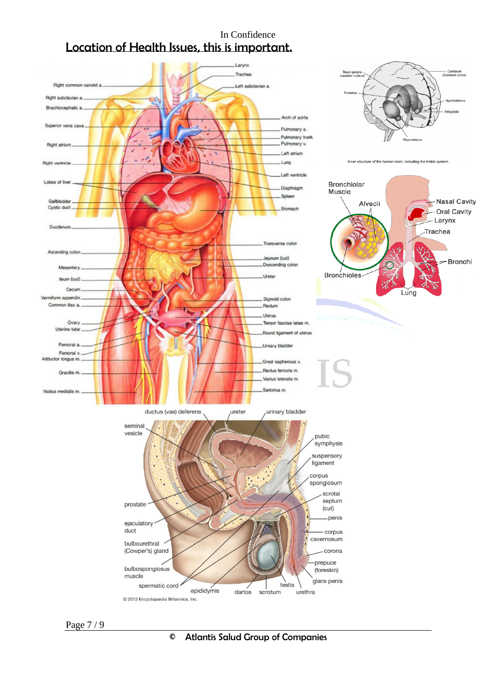### In Confidence Location of Health Issues, this is important.

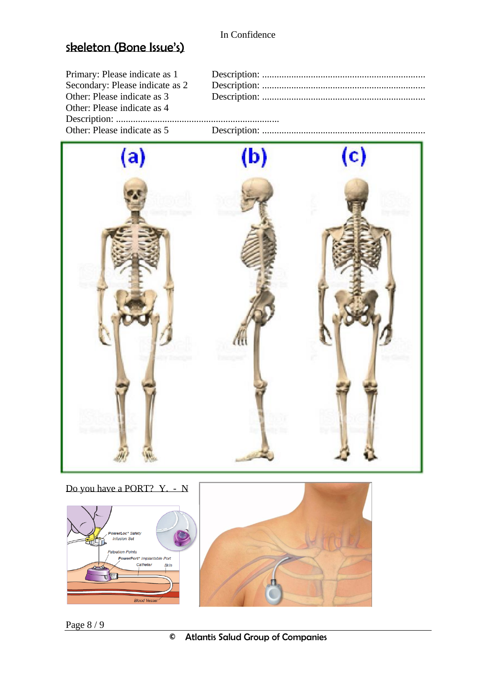# Skeleton (Bone Issue's)

| Primary: Please indicate as 1   |  |
|---------------------------------|--|
| Secondary: Please indicate as 2 |  |
| Other: Please indicate as 3     |  |
| Other: Please indicate as 4     |  |
|                                 |  |
| Other: Please indicate as 5     |  |



Do you have a PORT? Y. - N





Page 8 / 9